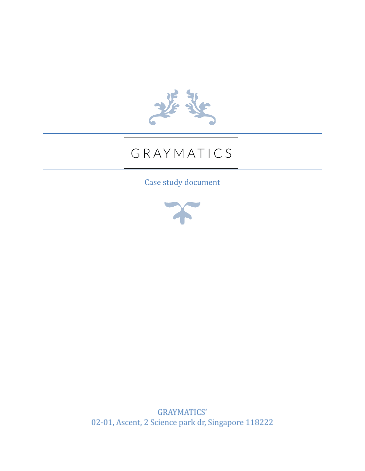

# GRAYMATICS

Case study document



**GRAYMATICS'** 02-01, Ascent, 2 Science park dr, Singapore 118222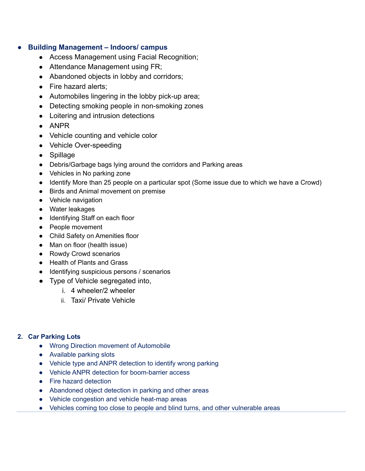#### ● **Building Management – Indoors/ campus**

- Access Management using Facial Recognition;
- Attendance Management using FR;
- Abandoned objects in lobby and corridors;
- Fire hazard alerts:
- Automobiles lingering in the lobby pick-up area;
- Detecting smoking people in non-smoking zones
- Loitering and intrusion detections
- $\bullet$  ANPR
- Vehicle counting and vehicle color
- Vehicle Over-speeding
- Spillage
- Debris/Garbage bags lying around the corridors and Parking areas
- Vehicles in No parking zone
- Identify More than 25 people on a particular spot (Some issue due to which we have a Crowd)
- Birds and Animal movement on premise
- Vehicle navigation
- Water leakages
- Identifying Staff on each floor
- People movement
- Child Safety on Amenities floor
- Man on floor (health issue)
- Rowdy Crowd scenarios
- Health of Plants and Grass
- Identifying suspicious persons / scenarios
- Type of Vehicle segregated into,
	- i. 4 wheeler/2 wheeler
	- ii. Taxi/ Private Vehicle

#### **2. Car Parking Lots**

- **●** Wrong Direction movement of Automobile
- **●** Available parking slots
- **●** Vehicle type and ANPR detection to identify wrong parking
- **●** Vehicle ANPR detection for boom-barrier access
- **●** Fire hazard detection
- **●** Abandoned object detection in parking and other areas
- **●** Vehicle congestion and vehicle heat-map areas
- **●** Vehicles coming too close to people and blind turns, and other vulnerable areas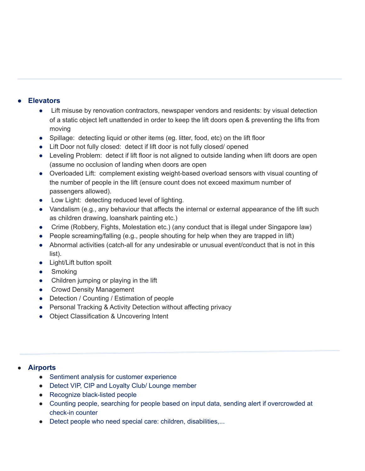## **● Elevators**

- **●** Lift misuse by renovation contractors, newspaper vendors and residents: by visual detection of a static object left unattended in order to keep the lift doors open & preventing the lifts from moving
- **●** Spillage: detecting liquid or other items (eg. litter, food, etc) on the lift floor
- **●** Lift Door not fully closed: detect if lift door is not fully closed/ opened
- **●** Leveling Problem: detect if lift floor is not aligned to outside landing when lift doors are open (assume no occlusion of landing when doors are open
- **●** Overloaded Lift: complement existing weight-based overload sensors with visual counting of the number of people in the lift (ensure count does not exceed maximum number of passengers allowed).
- **●** Low Light: detecting reduced level of lighting.
- **●** Vandalism (e.g., any behaviour that affects the internal or external appearance of the lift such as children drawing, loanshark painting etc.)
- **●** Crime (Robbery, Fights, Molestation etc.) (any conduct that is illegal under Singapore law)
- **●** People screaming/falling (e.g., people shouting for help when they are trapped in lift)
- **●** Abnormal activities (catch-all for any undesirable or unusual event/conduct that is not in this list).
- **●** Light/Lift button spoilt
- **●** Smoking
- **●** Children jumping or playing in the lift
- **●** Crowd Density Management
- **●** Detection / Counting / Estimation of people
- **●** Personal Tracking & Activity Detection without affecting privacy
- **●** Object Classification & Uncovering Intent

## ● **Airports**

- Sentiment analysis for customer experience
- Detect VIP, CIP and Loyalty Club/ Lounge member
- Recognize black-listed people
- Counting people, searching for people based on input data, sending alert if overcrowded at check-in counter
- Detect people who need special care: children, disabilities,...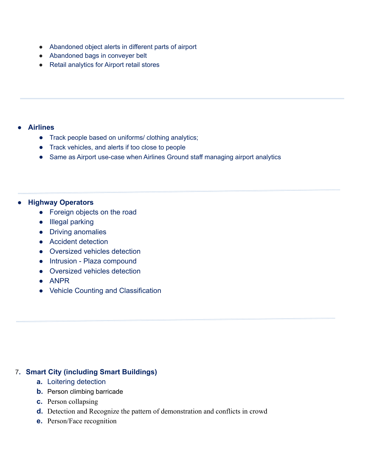- Abandoned object alerts in different parts of airport
- Abandoned bags in conveyer belt
- Retail analytics for Airport retail stores

## **● Airlines**

- **●** Track people based on uniforms/ clothing analytics;
- **●** Track vehicles, and alerts if too close to people
- **●** Same as Airport use-case when Airlines Ground staff managing airport analytics

## **● Highway Operators**

- Foreign objects on the road
- Illegal parking
- Driving anomalies
- Accident detection
- Oversized vehicles detection
- Intrusion Plaza compound
- Oversized vehicles detection
- ANPR
- **●** Vehicle Counting and Classification

# 7**. Smart City (including Smart Buildings)**

- **a.** Loitering detection
- **b.** Person climbing barricade
- **c.** Person collapsing
- **d.** Detection and Recognize the pattern of demonstration and conflicts in crowd
- **e.** Person/Face recognition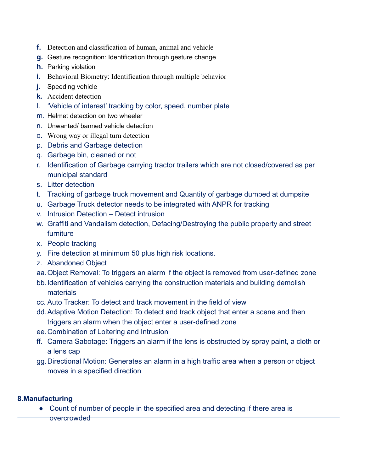- **f.** Detection and classification of human, animal and vehicle
- **g.** Gesture recognition: Identification through gesture change
- **h.** Parking violation
- **i.** Behavioral Biometry: Identification through multiple behavior
- **j.** Speeding vehicle
- **k.** Accident detection
- l. 'Vehicle of interest' tracking by color, speed, number plate
- m. Helmet detection on two wheeler
- n. Unwanted/ banned vehicle detection
- o. Wrong way or illegal turn detection
- p. Debris and Garbage detection
- q. Garbage bin, cleaned or not
- r. Identification of Garbage carrying tractor trailers which are not closed/covered as per municipal standard
- s. Litter detection
- t. Tracking of garbage truck movement and Quantity of garbage dumped at dumpsite
- u. Garbage Truck detector needs to be integrated with ANPR for tracking
- v. Intrusion Detection Detect intrusion
- w. Graffiti and Vandalism detection, Defacing/Destroying the public property and street furniture
- x. People tracking
- y. Fire detection at minimum 50 plus high risk locations.
- z. Abandoned Object
- aa.Object Removal: To triggers an alarm if the object is removed from user-defined zone
- bb.Identification of vehicles carrying the construction materials and building demolish materials
- cc. Auto Tracker: To detect and track movement in the field of view
- dd.Adaptive Motion Detection: To detect and track object that enter a scene and then triggers an alarm when the object enter a user-defined zone
- ee.Combination of Loitering and Intrusion
- ff. Camera Sabotage: Triggers an alarm if the lens is obstructed by spray paint, a cloth or a lens cap
- gg.Directional Motion: Generates an alarm in a high traffic area when a person or object moves in a specified direction

# **8.Manufacturing**

● Count of number of people in the specified area and detecting if there area is overcrowded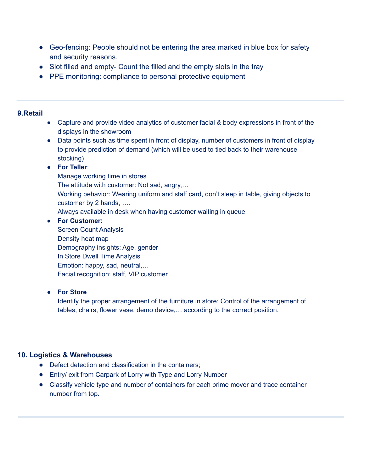- Geo-fencing: People should not be entering the area marked in blue box for safety and security reasons.
- Slot filled and empty- Count the filled and the empty slots in the tray
- PPE monitoring: compliance to personal protective equipment

## **9.Retail**

- Capture and provide video analytics of customer facial & body expressions in front of the displays in the showroom
- Data points such as time spent in front of display, number of customers in front of display to provide prediction of demand (which will be used to tied back to their warehouse stocking)

## ● **For Teller**:

Manage working time in stores The attitude with customer: Not sad, angry,… Working behavior: Wearing uniform and staff card, don't sleep in table, giving objects to customer by 2 hands, …. Always available in desk when having customer waiting in queue

## **● For Customer:**

Screen Count Analysis Density heat map Demography insights: Age, gender In Store Dwell Time Analysis Emotion: happy, sad, neutral,… Facial recognition: staff, VIP customer

## **● For Store**

Identify the proper arrangement of the furniture in store: Control of the arrangement of tables, chairs, flower vase, demo device,… according to the correct position.

# **10. Logistics & Warehouses**

- **●** Defect detection and classification in the containers;
- **●** Entry/ exit from Carpark of Lorry with Type and Lorry Number
- **●** Classify vehicle type and number of containers for each prime mover and trace container number from top.